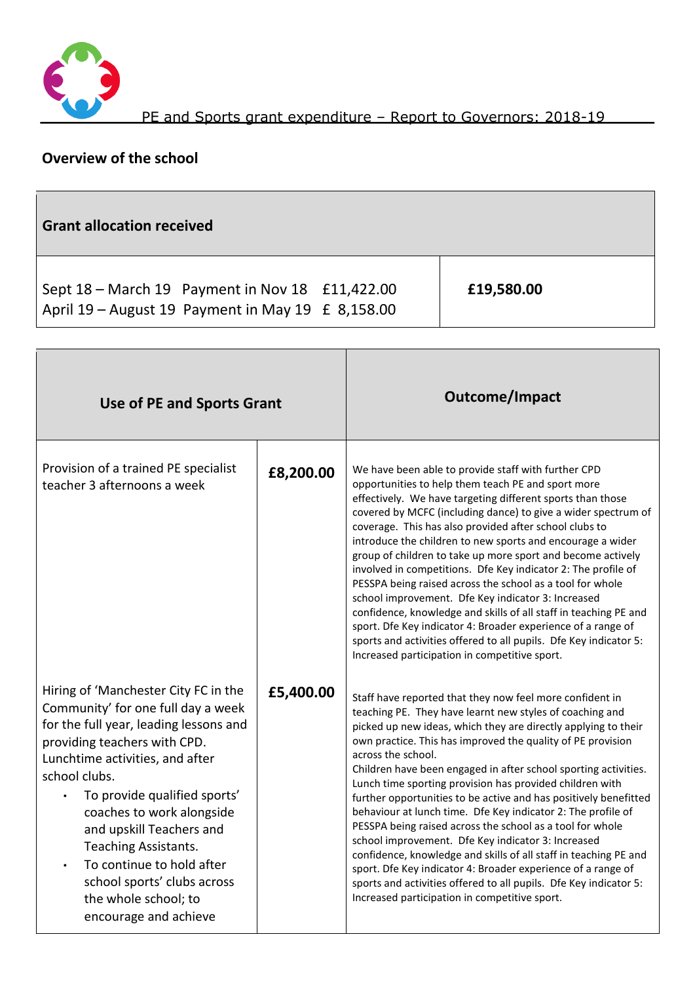

## **Overview of the school**

| <b>Grant allocation received</b>                                                                                                                                                                                                                                                                                                                                                                                                                                 |           |                    |                                                                                                                                                                                                                                                                                                                                                                                                                                                                                                                                                                                                                                                                                                                                                                                                                                                                                                       |  |
|------------------------------------------------------------------------------------------------------------------------------------------------------------------------------------------------------------------------------------------------------------------------------------------------------------------------------------------------------------------------------------------------------------------------------------------------------------------|-----------|--------------------|-------------------------------------------------------------------------------------------------------------------------------------------------------------------------------------------------------------------------------------------------------------------------------------------------------------------------------------------------------------------------------------------------------------------------------------------------------------------------------------------------------------------------------------------------------------------------------------------------------------------------------------------------------------------------------------------------------------------------------------------------------------------------------------------------------------------------------------------------------------------------------------------------------|--|
| Sept 18 – March 19 Payment in Nov 18<br>April 19 - August 19 Payment in May 19 £ 8,158.00                                                                                                                                                                                                                                                                                                                                                                        |           | £11,422.00         | £19,580.00                                                                                                                                                                                                                                                                                                                                                                                                                                                                                                                                                                                                                                                                                                                                                                                                                                                                                            |  |
| Use of PE and Sports Grant                                                                                                                                                                                                                                                                                                                                                                                                                                       |           |                    | <b>Outcome/Impact</b>                                                                                                                                                                                                                                                                                                                                                                                                                                                                                                                                                                                                                                                                                                                                                                                                                                                                                 |  |
| Provision of a trained PE specialist<br>teacher 3 afternoons a week                                                                                                                                                                                                                                                                                                                                                                                              | £8,200.00 |                    | We have been able to provide staff with further CPD<br>opportunities to help them teach PE and sport more<br>effectively. We have targeting different sports than those<br>covered by MCFC (including dance) to give a wider spectrum of<br>coverage. This has also provided after school clubs to<br>introduce the children to new sports and encourage a wider<br>group of children to take up more sport and become actively<br>involved in competitions. Dfe Key indicator 2: The profile of<br>PESSPA being raised across the school as a tool for whole<br>school improvement. Dfe Key indicator 3: Increased<br>confidence, knowledge and skills of all staff in teaching PE and<br>sport. Dfe Key indicator 4: Broader experience of a range of<br>sports and activities offered to all pupils. Dfe Key indicator 5:<br>Increased participation in competitive sport.                         |  |
| Hiring of 'Manchester City FC in the<br>Community' for one full day a week<br>for the full year, leading lessons and<br>providing teachers with CPD.<br>Lunchtime activities, and after<br>school clubs.<br>To provide qualified sports'<br>$\bullet$<br>coaches to work alongside<br>and upskill Teachers and<br>Teaching Assistants.<br>To continue to hold after<br>$\bullet$<br>school sports' clubs across<br>the whole school; to<br>encourage and achieve | £5,400.00 | across the school. | Staff have reported that they now feel more confident in<br>teaching PE. They have learnt new styles of coaching and<br>picked up new ideas, which they are directly applying to their<br>own practice. This has improved the quality of PE provision<br>Children have been engaged in after school sporting activities.<br>Lunch time sporting provision has provided children with<br>further opportunities to be active and has positively benefitted<br>behaviour at lunch time. Dfe Key indicator 2: The profile of<br>PESSPA being raised across the school as a tool for whole<br>school improvement. Dfe Key indicator 3: Increased<br>confidence, knowledge and skills of all staff in teaching PE and<br>sport. Dfe Key indicator 4: Broader experience of a range of<br>sports and activities offered to all pupils. Dfe Key indicator 5:<br>Increased participation in competitive sport. |  |